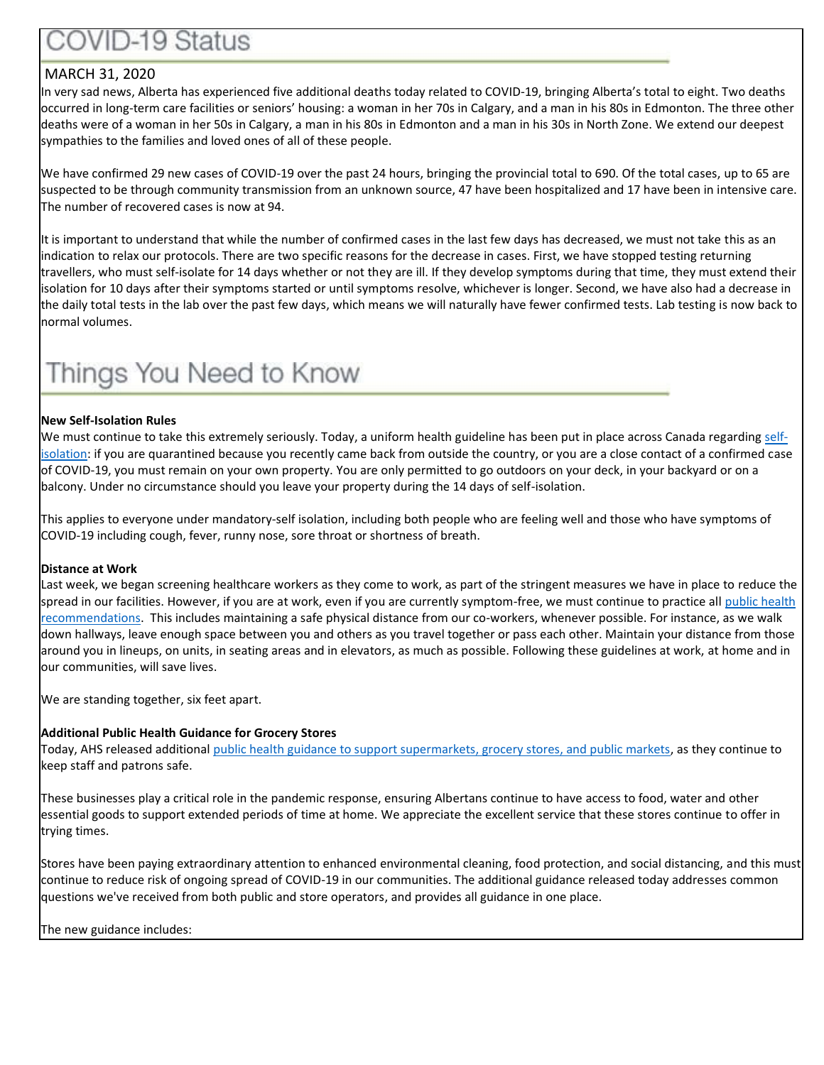### **OVID-19 Status**

#### MARCH 31, 2020

In very sad news, Alberta has experienced five additional deaths today related to COVID-19, bringing Alberta's total to eight. Two deaths occurred in long-term care facilities or seniors' housing: a woman in her 70s in Calgary, and a man in his 80s in Edmonton. The three other deaths were of a woman in her 50s in Calgary, a man in his 80s in Edmonton and a man in his 30s in North Zone. We extend our deepest sympathies to the families and loved ones of all of these people.

We have confirmed 29 new cases of COVID-19 over the past 24 hours, bringing the provincial total to 690. Of the total cases, up to 65 are suspected to be through community transmission from an unknown source, 47 have been hospitalized and 17 have been in intensive care. The number of recovered cases is now at 94.

It is important to understand that while the number of confirmed cases in the last few days has decreased, we must not take this as an indication to relax our protocols. There are two specific reasons for the decrease in cases. First, we have stopped testing returning travellers, who must self-isolate for 14 days whether or not they are ill. If they develop symptoms during that time, they must extend their isolation for 10 days after their symptoms started or until symptoms resolve, whichever is longer. Second, we have also had a decrease in the daily total tests in the lab over the past few days, which means we will naturally have fewer confirmed tests. Lab testing is now back to normal volumes.

### Things You Need to Know

#### **New Self-Isolation Rules**

We must continue to take this extremely seriously. Today, a uniform health guideline has been put in place across Canada regarding [self](https://www.alberta.ca/self-isolation.aspx)[isolation:](https://www.alberta.ca/self-isolation.aspx) if you are quarantined because you recently came back from outside the country, or you are a close contact of a confirmed case of COVID-19, you must remain on your own property. You are only permitted to go outdoors on your deck, in your backyard or on a balcony. Under no circumstance should you leave your property during the 14 days of self-isolation.

This applies to everyone under mandatory-self isolation, including both people who are feeling well and those who have symptoms of COVID-19 including cough, fever, runny nose, sore throat or shortness of breath.

#### **Distance at Work**

Last week, we began screening healthcare workers as they come to work, as part of the stringent measures we have in place to reduce the spread in our facilities. However, if you are at work, even if you are currently symptom-free, we must continue to practice all public health [recommendations.](https://www.albertahealthservices.ca/topics/Page16997.aspx) This includes maintaining a safe physical distance from our co-workers, whenever possible. For instance, as we walk down hallways, leave enough space between you and others as you travel together or pass each other. Maintain your distance from those around you in lineups, on units, in seating areas and in elevators, as much as possible. Following these guidelines at work, at home and in our communities, will save lives.

We are standing together, six feet apart.

#### **Additional Public Health Guidance for Grocery Stores**

Today, AHS released additional [public health guidance to support supermarkets, grocery stores, and public markets,](https://www.albertahealthservices.ca/assets/info/ppih/if-ppih-covid-19-ph-recommendations-grocery-stores.pdf) as they continue to keep staff and patrons safe.

These businesses play a critical role in the pandemic response, ensuring Albertans continue to have access to food, water and other essential goods to support extended periods of time at home. We appreciate the excellent service that these stores continue to offer in trying times.

Stores have been paying extraordinary attention to enhanced environmental cleaning, food protection, and social distancing, and this must continue to reduce risk of ongoing spread of COVID-19 in our communities. The additional guidance released today addresses common questions we've received from both public and store operators, and provides all guidance in one place.

The new guidance includes: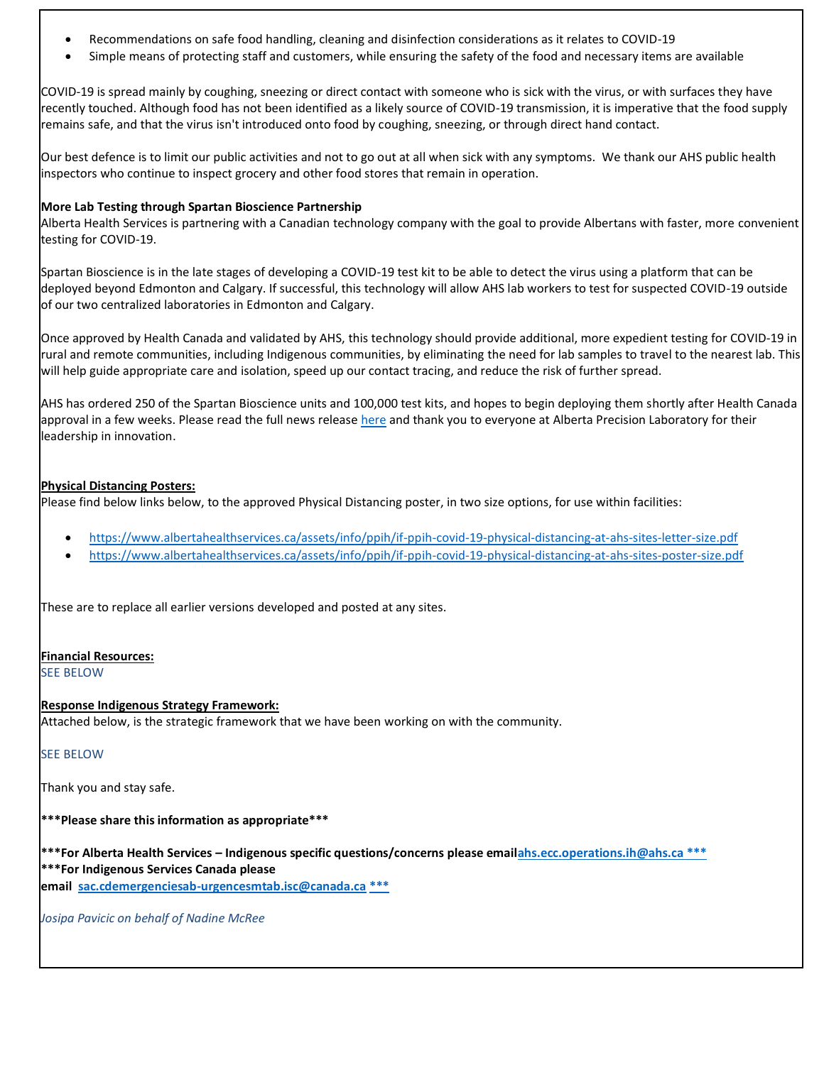- Recommendations on safe food handling, cleaning and disinfection considerations as it relates to COVID-19
- Simple means of protecting staff and customers, while ensuring the safety of the food and necessary items are available

COVID-19 is spread mainly by coughing, sneezing or direct contact with someone who is sick with the virus, or with surfaces they have recently touched. Although food has not been identified as a likely source of COVID-19 transmission, it is imperative that the food supply remains safe, and that the virus isn't introduced onto food by coughing, sneezing, or through direct hand contact.

Our best defence is to limit our public activities and not to go out at all when sick with any symptoms. We thank our AHS public health inspectors who continue to inspect grocery and other food stores that remain in operation.

#### **More Lab Testing through Spartan Bioscience Partnership**

Alberta Health Services is partnering with a Canadian technology company with the goal to provide Albertans with faster, more convenient testing for COVID-19.

Spartan Bioscience is in the late stages of developing a COVID-19 test kit to be able to detect the virus using a platform that can be deployed beyond Edmonton and Calgary. If successful, this technology will allow AHS lab workers to test for suspected COVID-19 outside of our two centralized laboratories in Edmonton and Calgary.

Once approved by Health Canada and validated by AHS, this technology should provide additional, more expedient testing for COVID-19 in rural and remote communities, including Indigenous communities, by eliminating the need for lab samples to travel to the nearest lab. This will help guide appropriate care and isolation, speed up our contact tracing, and reduce the risk of further spread.

AHS has ordered 250 of the Spartan Bioscience units and 100,000 test kits, and hopes to begin deploying them shortly after Health Canada approval in a few weeks. Please read the full news release [here](https://www.albertahealthservices.ca/news/releases/2020/Page15450.aspx) and thank you to everyone at Alberta Precision Laboratory for their leadership in innovation.

#### **Physical Distancing Posters:**

Please find below links below, to the approved Physical Distancing poster, in two size options, for use within facilities:

- <https://www.albertahealthservices.ca/assets/info/ppih/if-ppih-covid-19-physical-distancing-at-ahs-sites-letter-size.pdf>
- <https://www.albertahealthservices.ca/assets/info/ppih/if-ppih-covid-19-physical-distancing-at-ahs-sites-poster-size.pdf>

These are to replace all earlier versions developed and posted at any sites.

#### **Financial Resources:**

SEE BELOW

#### **Response Indigenous Strategy Framework:**

Attached below, is the strategic framework that we have been working on with the community.

#### SEE BELOW

Thank you and stay safe.

#### **\*\*\*Please share this information as appropriate\*\*\***

**\*\*\*For Alberta Health Services – Indigenous specific questions/concerns please ema[ilahs.ecc.operations.ih@ahs.ca \\*\\*\\*](mailto:ahs.ecc.operations.ih@ahs.ca%20***) \*\*\*For Indigenous Services Canada please**

**email [sac.cdemergenciesab-urgencesmtab.isc@canada.ca](mailto:sac.cdemergenciesab-urgencesmtab.isc@canada.ca) \*\*\***

*Josipa Pavicic on behalf of Nadine McRee*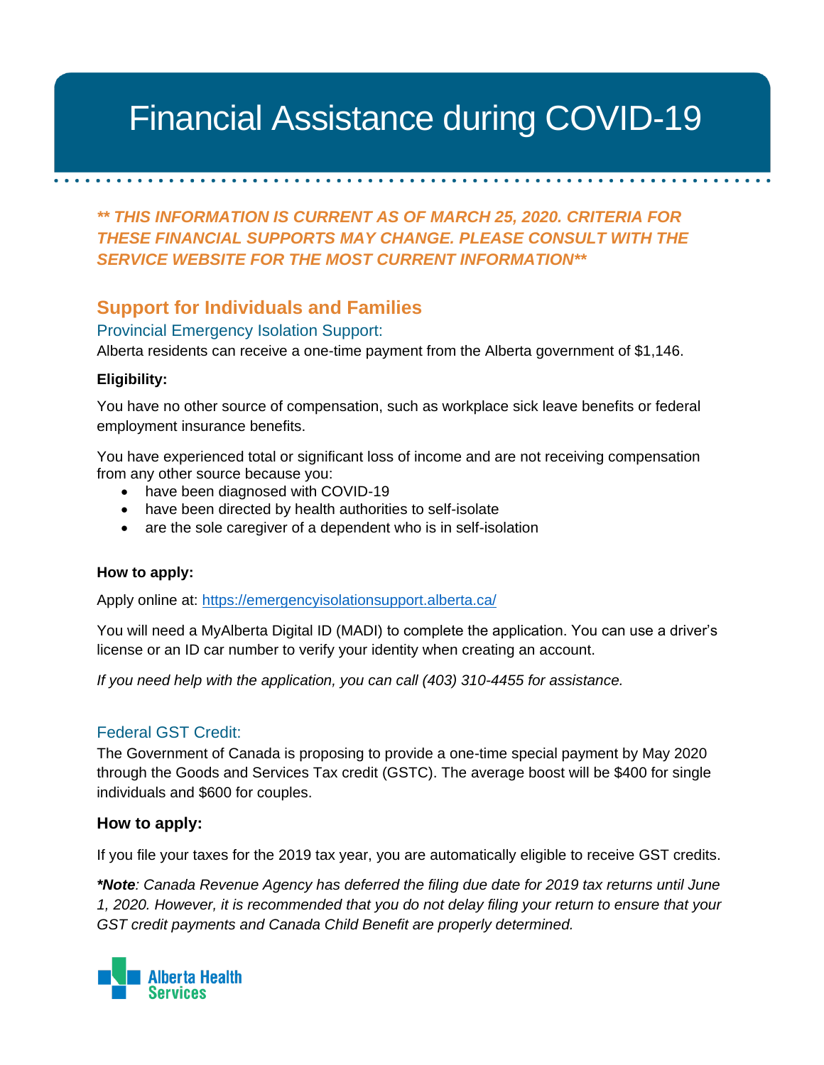#### *\*\* THIS INFORMATION IS CURRENT AS OF MARCH 25, 2020. CRITERIA FOR THESE*  Financial Assistance during COVID-19

*\*\* THIS INFORMATION IS CURRENT AS OF MARCH 25, 2020. CRITERIA FOR THESE FINANCIAL SUPPORTS MAY CHANGE. PLEASE CONSULT WITH THE SERVICE WEBSITE FOR THE MOST CURRENT INFORMATION\*\**

#### **Support for Individuals and Families**

Provincial Emergency Isolation Support:

Alberta residents can receive a one-time payment from the Alberta government of \$1,146.

#### **Eligibility:**

You have no other source of compensation, such as workplace sick leave benefits or federal employment insurance benefits.

You have experienced total or significant loss of income and are not receiving compensation from any other source because you:

- have been diagnosed with COVID-19
- have been directed by health authorities to self-isolate
- are the sole caregiver of a dependent who is in self-isolation

#### **How to apply:**

Apply online at:<https://emergencyisolationsupport.alberta.ca/>

You will need a MyAlberta Digital ID (MADI) to complete the application. You can use a driver's license or an ID car number to verify your identity when creating an account.

*If you need help with the application, you can call (403) 310-4455 for assistance.* 

#### Federal GST Credit:

The Government of Canada is proposing to provide a one-time special payment by May 2020 through the Goods and Services Tax credit (GSTC). The average boost will be \$400 for single individuals and \$600 for couples.

#### **How to apply:**

If you file your taxes for the 2019 tax year, you are automatically eligible to receive GST credits.

*\*Note: Canada Revenue Agency has deferred the filing due date for 2019 tax returns until June 1, 2020. However, it is recommended that you do not delay filing your return to ensure that your GST credit payments and Canada Child Benefit are properly determined.*

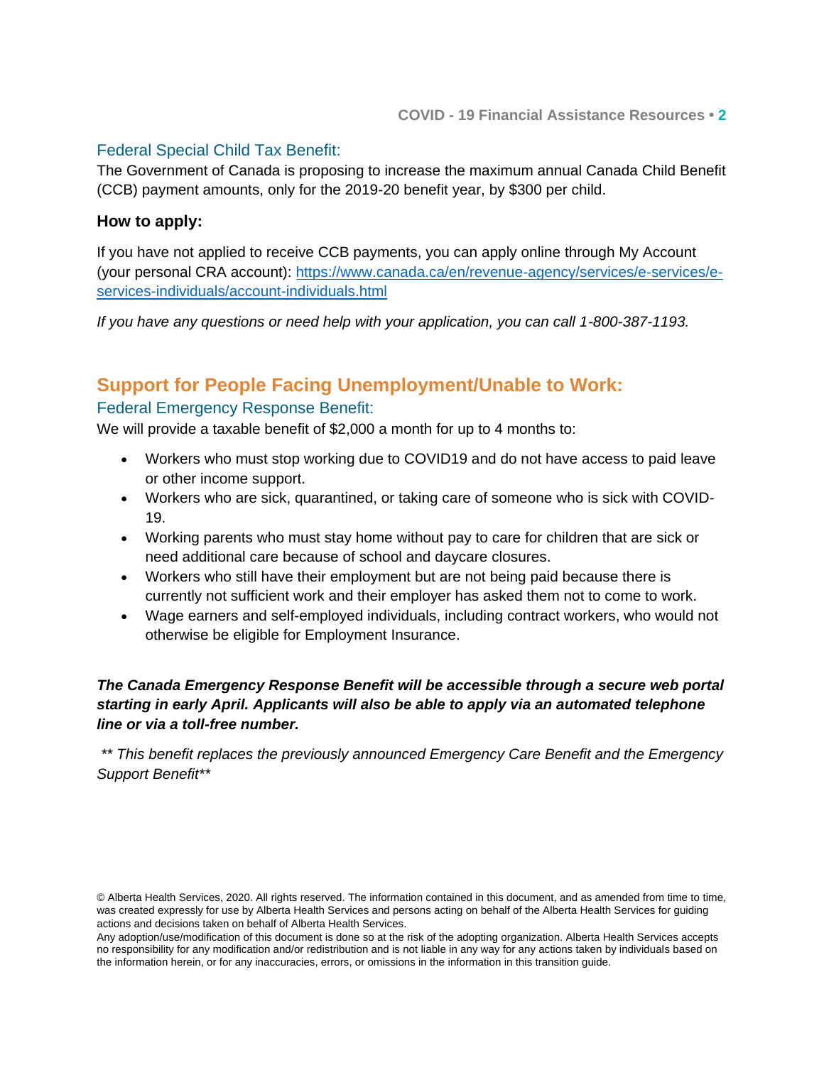#### Federal Special Child Tax Benefit:

The Government of Canada is proposing to increase the maximum annual Canada Child Benefit (CCB) payment amounts, only for the 2019-20 benefit year, by \$300 per child.

#### **How to apply:**

If you have not applied to receive CCB payments, you can apply online through My Account (your personal CRA account): [https://www.canada.ca/en/revenue-agency/services/e-services/e](https://www.canada.ca/en/revenue-agency/services/e-services/e-services-individuals/account-individuals.html)[services-individuals/account-individuals.html](https://www.canada.ca/en/revenue-agency/services/e-services/e-services-individuals/account-individuals.html)

*If you have any questions or need help with your application, you can call 1-800-387-1193.*

#### **Support for People Facing Unemployment/Unable to Work:**

#### Federal Emergency Response Benefit:

We will provide a taxable benefit of \$2,000 a month for up to 4 months to:

- Workers who must stop working due to COVID19 and do not have access to paid leave or other income support.
- Workers who are sick, quarantined, or taking care of someone who is sick with COVID-19.
- Working parents who must stay home without pay to care for children that are sick or need additional care because of school and daycare closures.
- Workers who still have their employment but are not being paid because there is currently not sufficient work and their employer has asked them not to come to work.
- Wage earners and self-employed individuals, including contract workers, who would not otherwise be eligible for Employment Insurance.

#### *The Canada Emergency Response Benefit will be accessible through a secure web portal starting in early April. Applicants will also be able to apply via an automated telephone line or via a toll-free number.*

*\*\* This benefit replaces the previously announced Emergency Care Benefit and the Emergency Support Benefit\*\**

<sup>©</sup> Alberta Health Services, 2020. All rights reserved. The information contained in this document, and as amended from time to time, was created expressly for use by Alberta Health Services and persons acting on behalf of the Alberta Health Services for guiding actions and decisions taken on behalf of Alberta Health Services.

Any adoption/use/modification of this document is done so at the risk of the adopting organization. Alberta Health Services accepts no responsibility for any modification and/or redistribution and is not liable in any way for any actions taken by individuals based on the information herein, or for any inaccuracies, errors, or omissions in the information in this transition guide.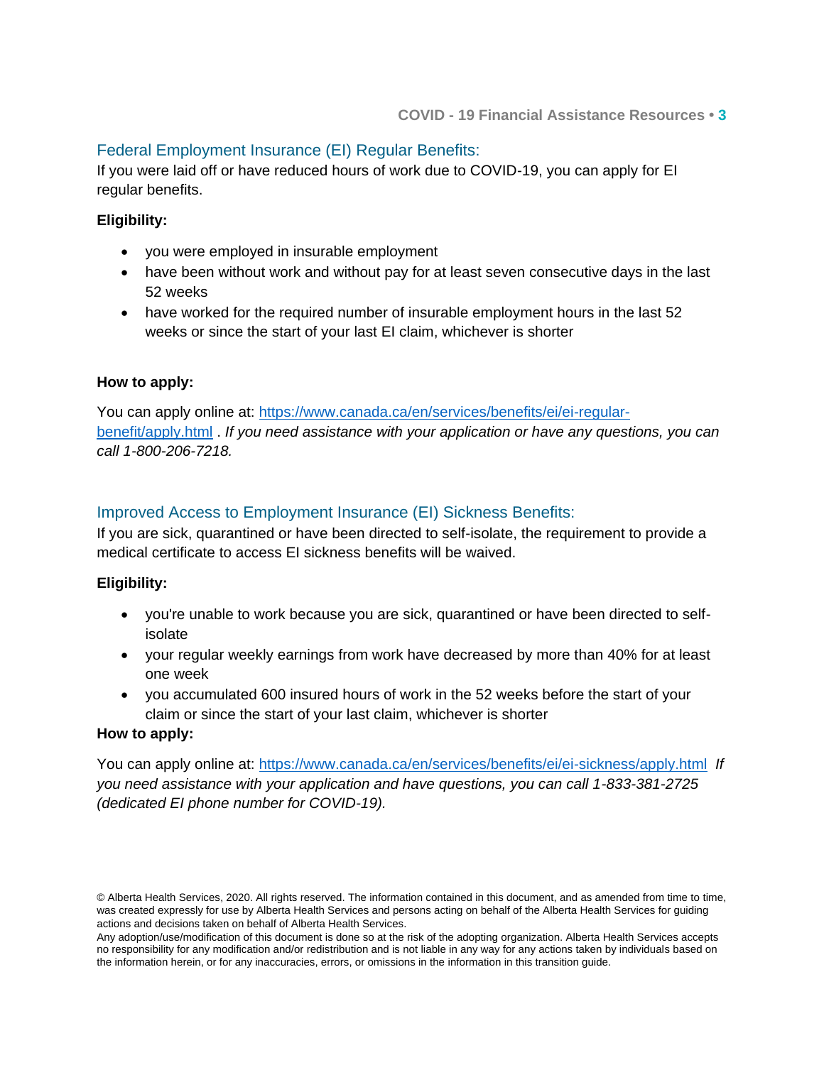#### Federal Employment Insurance (EI) Regular Benefits:

If you were laid off or have reduced hours of work due to COVID-19, you can apply for EI regular benefits.

#### **Eligibility:**

- you were employed in insurable employment
- have been without work and without pay for at least seven consecutive days in the last 52 weeks
- have worked for the required number of insurable employment hours in the last 52 weeks or since the start of your last EI claim, whichever is shorter

#### **How to apply:**

You can apply online at: [https://www.canada.ca/en/services/benefits/ei/ei-regular](https://www.canada.ca/en/services/benefits/ei/ei-regular-benefit/apply.html)[benefit/apply.html](https://www.canada.ca/en/services/benefits/ei/ei-regular-benefit/apply.html) . *If you need assistance with your application or have any questions, you can call 1-800-206-7218.*

#### Improved Access to Employment Insurance (EI) Sickness Benefits:

If you are sick, quarantined or have been directed to self-isolate, the requirement to provide a medical certificate to access EI sickness benefits will be waived.

#### **Eligibility:**

- you're unable to work because you are sick, quarantined or have been directed to selfisolate
- your regular weekly earnings from work have decreased by more than 40% for at least one week
- you accumulated 600 insured hours of work in the 52 weeks before the start of your claim or since the start of your last claim, whichever is shorter

#### **How to apply:**

You can apply online at:<https://www.canada.ca/en/services/benefits/ei/ei-sickness/apply.html>*If you need assistance with your application and have questions, you can call 1-833-381-2725 (dedicated EI phone number for COVID-19).*

<sup>©</sup> Alberta Health Services, 2020. All rights reserved. The information contained in this document, and as amended from time to time, was created expressly for use by Alberta Health Services and persons acting on behalf of the Alberta Health Services for guiding actions and decisions taken on behalf of Alberta Health Services.

Any adoption/use/modification of this document is done so at the risk of the adopting organization. Alberta Health Services accepts no responsibility for any modification and/or redistribution and is not liable in any way for any actions taken by individuals based on the information herein, or for any inaccuracies, errors, or omissions in the information in this transition guide.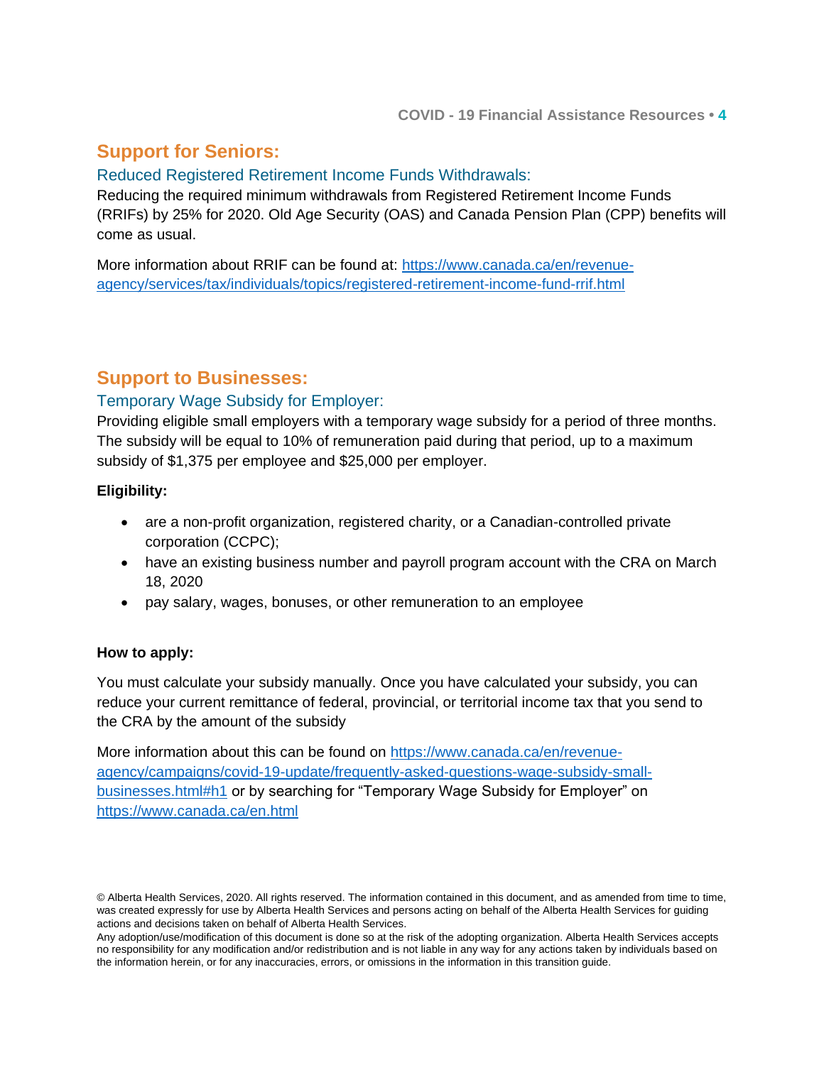### **Support for Seniors:**

#### Reduced Registered Retirement Income Funds Withdrawals:

Reducing the required minimum withdrawals from Registered Retirement Income Funds (RRIFs) by 25% for 2020. Old Age Security (OAS) and Canada Pension Plan (CPP) benefits will come as usual.

More information about RRIF can be found at: [https://www.canada.ca/en/revenue](https://www.canada.ca/en/revenue-agency/services/tax/individuals/topics/registered-retirement-income-fund-rrif.html)[agency/services/tax/individuals/topics/registered-retirement-income-fund-rrif.html](https://www.canada.ca/en/revenue-agency/services/tax/individuals/topics/registered-retirement-income-fund-rrif.html)

#### **Support to Businesses:**

#### Temporary Wage Subsidy for Employer:

Providing eligible small employers with a temporary wage subsidy for a period of three months. The subsidy will be equal to 10% of remuneration paid during that period, up to a maximum subsidy of \$1,375 per employee and \$25,000 per employer.

#### **Eligibility:**

- are a non-profit organization, registered charity, or a Canadian-controlled private corporation (CCPC);
- have an existing business number and payroll program account with the CRA on March 18, 2020
- pay salary, wages, bonuses, or other remuneration to an employee

#### **How to apply:**

You must calculate your subsidy manually. Once you have calculated your subsidy, you can reduce your current remittance of federal, provincial, or territorial income tax that you send to the CRA by the amount of the subsidy

More information about this can be found on [https://www.canada.ca/en/revenue](https://www.canada.ca/en/revenue-agency/campaigns/covid-19-update/frequently-asked-questions-wage-subsidy-small-businesses.html#h1)[agency/campaigns/covid-19-update/frequently-asked-questions-wage-subsidy-small](https://www.canada.ca/en/revenue-agency/campaigns/covid-19-update/frequently-asked-questions-wage-subsidy-small-businesses.html#h1)[businesses.html#h1](https://www.canada.ca/en/revenue-agency/campaigns/covid-19-update/frequently-asked-questions-wage-subsidy-small-businesses.html#h1) or by searching for "Temporary Wage Subsidy for Employer" on <https://www.canada.ca/en.html>

<sup>©</sup> Alberta Health Services, 2020. All rights reserved. The information contained in this document, and as amended from time to time, was created expressly for use by Alberta Health Services and persons acting on behalf of the Alberta Health Services for guiding actions and decisions taken on behalf of Alberta Health Services.

Any adoption/use/modification of this document is done so at the risk of the adopting organization. Alberta Health Services accepts no responsibility for any modification and/or redistribution and is not liable in any way for any actions taken by individuals based on the information herein, or for any inaccuracies, errors, or omissions in the information in this transition guide.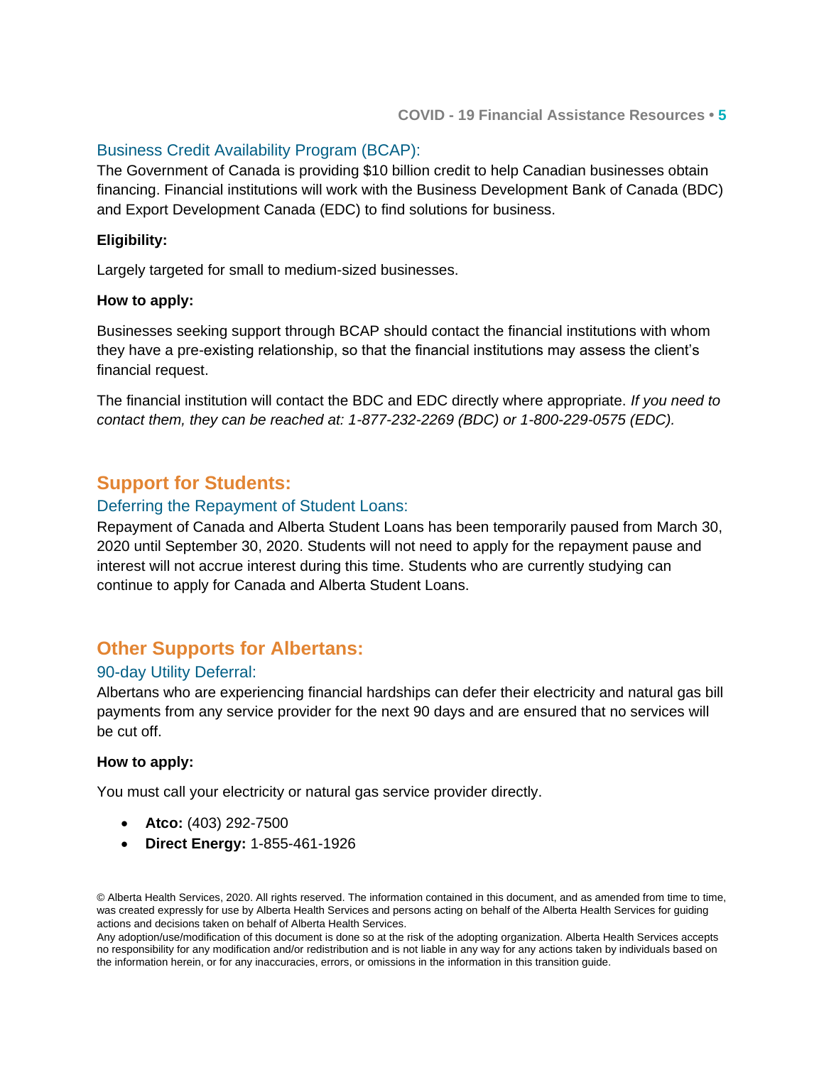#### Business Credit Availability Program (BCAP):

The Government of Canada is providing \$10 billion credit to help Canadian businesses obtain financing. Financial institutions will work with the Business Development Bank of Canada (BDC) and Export Development Canada (EDC) to find solutions for business.

#### **Eligibility:**

Largely targeted for small to medium-sized businesses.

#### **How to apply:**

Businesses seeking support through BCAP should contact the financial institutions with whom they have a pre-existing relationship, so that the financial institutions may assess the client's financial request.

The financial institution will contact the BDC and EDC directly where appropriate. *If you need to contact them, they can be reached at: 1-877-232-2269 (BDC) or 1-800-229-0575 (EDC).* 

#### **Support for Students:**

#### Deferring the Repayment of Student Loans:

Repayment of Canada and Alberta Student Loans has been temporarily paused from March 30, 2020 until September 30, 2020. Students will not need to apply for the repayment pause and interest will not accrue interest during this time. Students who are currently studying can continue to apply for Canada and Alberta Student Loans.

#### **Other Supports for Albertans:**

#### 90-day Utility Deferral:

Albertans who are experiencing financial hardships can defer their electricity and natural gas bill payments from any service provider for the next 90 days and are ensured that no services will be cut off.

#### **How to apply:**

You must call your electricity or natural gas service provider directly.

- **Atco:** (403) 292-7500
- **Direct Energy:** 1-855-461-1926

© Alberta Health Services, 2020. All rights reserved. The information contained in this document, and as amended from time to time, was created expressly for use by Alberta Health Services and persons acting on behalf of the Alberta Health Services for guiding actions and decisions taken on behalf of Alberta Health Services.

Any adoption/use/modification of this document is done so at the risk of the adopting organization. Alberta Health Services accepts no responsibility for any modification and/or redistribution and is not liable in any way for any actions taken by individuals based on the information herein, or for any inaccuracies, errors, or omissions in the information in this transition guide.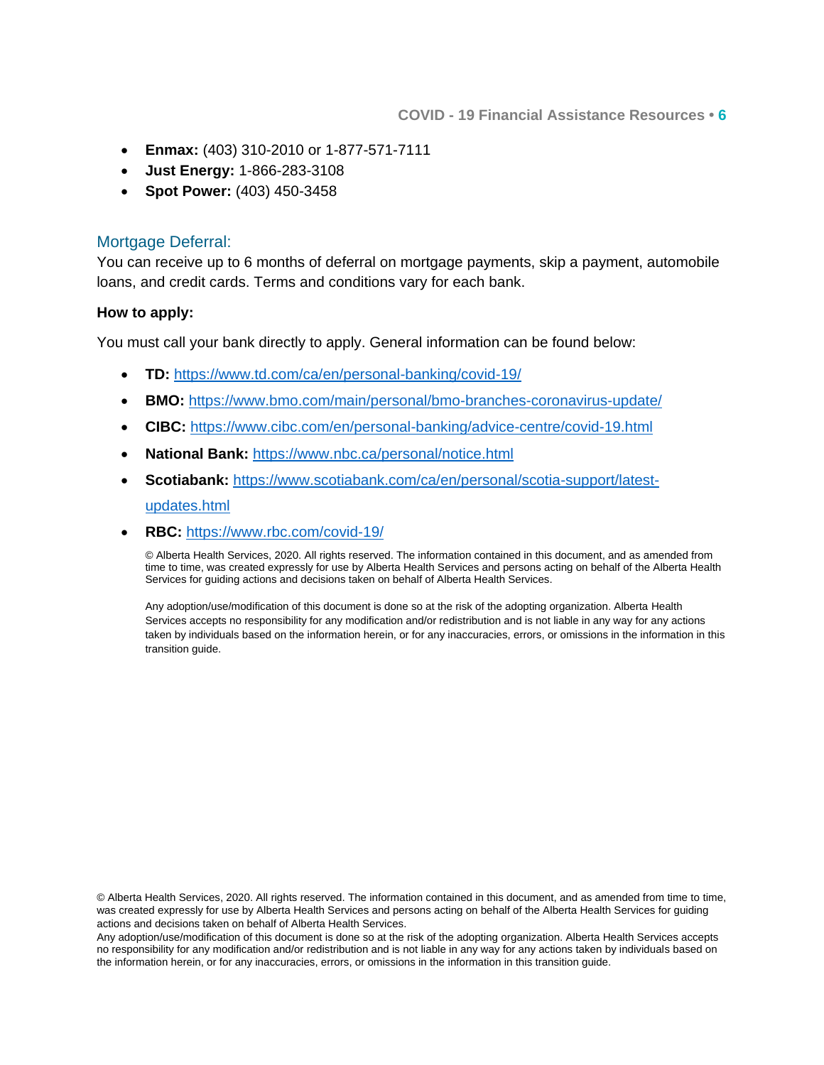**COVID - 19 Financial Assistance Resources • 6**

- **Enmax:** (403) 310-2010 or 1-877-571-7111
- **Just Energy:** 1-866-283-3108
- **Spot Power:** (403) 450-3458

#### Mortgage Deferral:

You can receive up to 6 months of deferral on mortgage payments, skip a payment, automobile loans, and credit cards. Terms and conditions vary for each bank.

#### **How to apply:**

You must call your bank directly to apply. General information can be found below:

- **TD:** <https://www.td.com/ca/en/personal-banking/covid-19/>
- **BMO:** <https://www.bmo.com/main/personal/bmo-branches-coronavirus-update/>
- **CIBC:** <https://www.cibc.com/en/personal-banking/advice-centre/covid-19.html>
- **National Bank:** <https://www.nbc.ca/personal/notice.html>
- **Scotiabank:** [https://www.scotiabank.com/ca/en/personal/scotia-support/latest-](https://www.scotiabank.com/ca/en/personal/scotia-support/latest-updates.html)

#### [updates.html](https://www.scotiabank.com/ca/en/personal/scotia-support/latest-updates.html)

**RBC:** <https://www.rbc.com/covid-19/>

© Alberta Health Services, 2020. All rights reserved. The information contained in this document, and as amended from time to time, was created expressly for use by Alberta Health Services and persons acting on behalf of the Alberta Health Services for guiding actions and decisions taken on behalf of Alberta Health Services.

Any adoption/use/modification of this document is done so at the risk of the adopting organization. Alberta Health Services accepts no responsibility for any modification and/or redistribution and is not liable in any way for any actions taken by individuals based on the information herein, or for any inaccuracies, errors, or omissions in the information in this transition guide.

© Alberta Health Services, 2020. All rights reserved. The information contained in this document, and as amended from time to time, was created expressly for use by Alberta Health Services and persons acting on behalf of the Alberta Health Services for guiding actions and decisions taken on behalf of Alberta Health Services.

Any adoption/use/modification of this document is done so at the risk of the adopting organization. Alberta Health Services accepts no responsibility for any modification and/or redistribution and is not liable in any way for any actions taken by individuals based on the information herein, or for any inaccuracies, errors, or omissions in the information in this transition guide.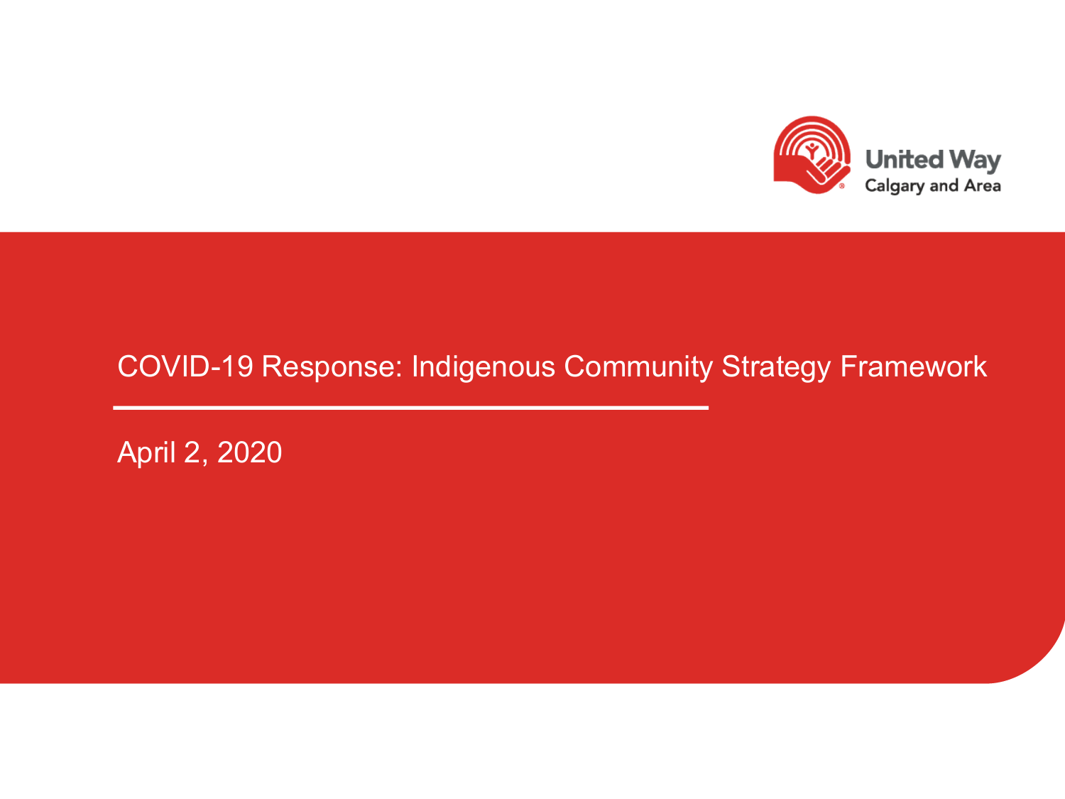

### COVID-19 Response: Indigenous Community Strategy Framework

April 2, 2020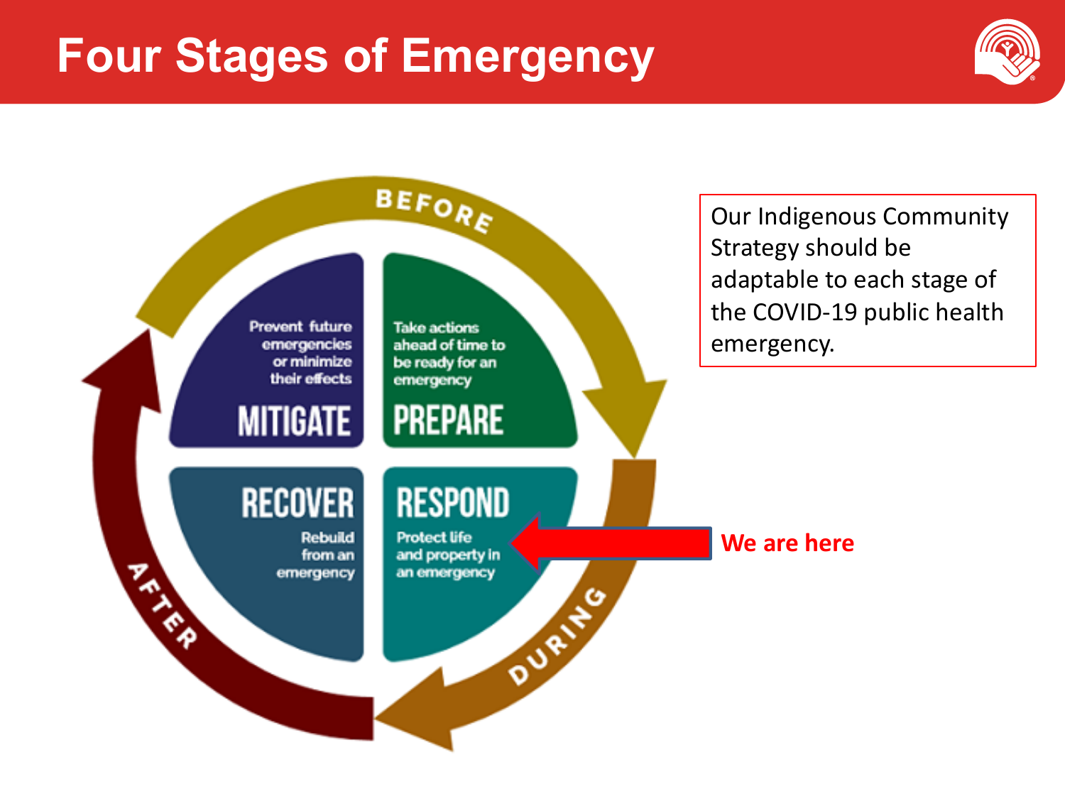## **Four Stages of Emergency**





Our Indigenous Community Strategy should be adaptable to each stage of the COVID-19 public health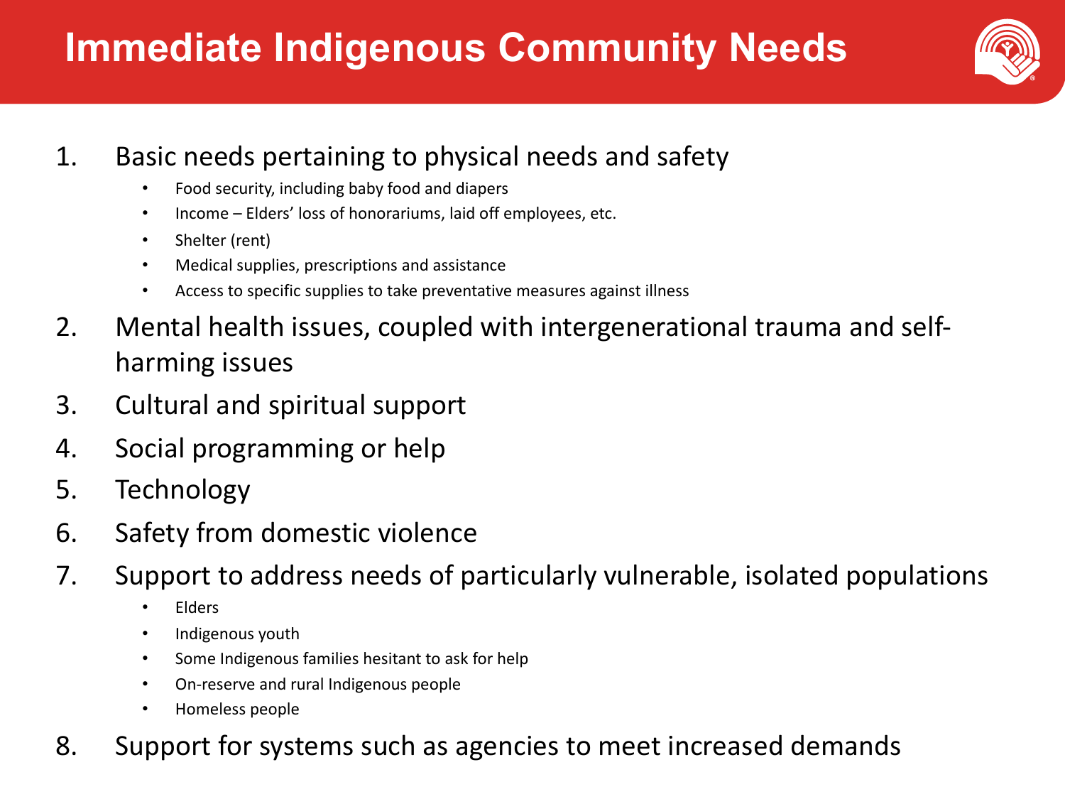## **Immediate Indigenous Community Needs**



### 1. Basic needs pertaining to physical needs and safety

- Food security, including baby food and diapers
- Income Elders' loss of honorariums, laid off employees, etc.
- Shelter (rent)
- Medical supplies, prescriptions and assistance
- Access to specific supplies to take preventative measures against illness
- 2. Mental health issues, coupled with intergenerational trauma and selfharming issues
- 3. Cultural and spiritual support
- 4. Social programming or help
- 5. Technology
- 6. Safety from domestic violence
- 7. Support to address needs of particularly vulnerable, isolated populations
	- Elders
	- Indigenous youth
	- Some Indigenous families hesitant to ask for help
	- On-reserve and rural Indigenous people
	- Homeless people
- 8. Support for systems such as agencies to meet increased demands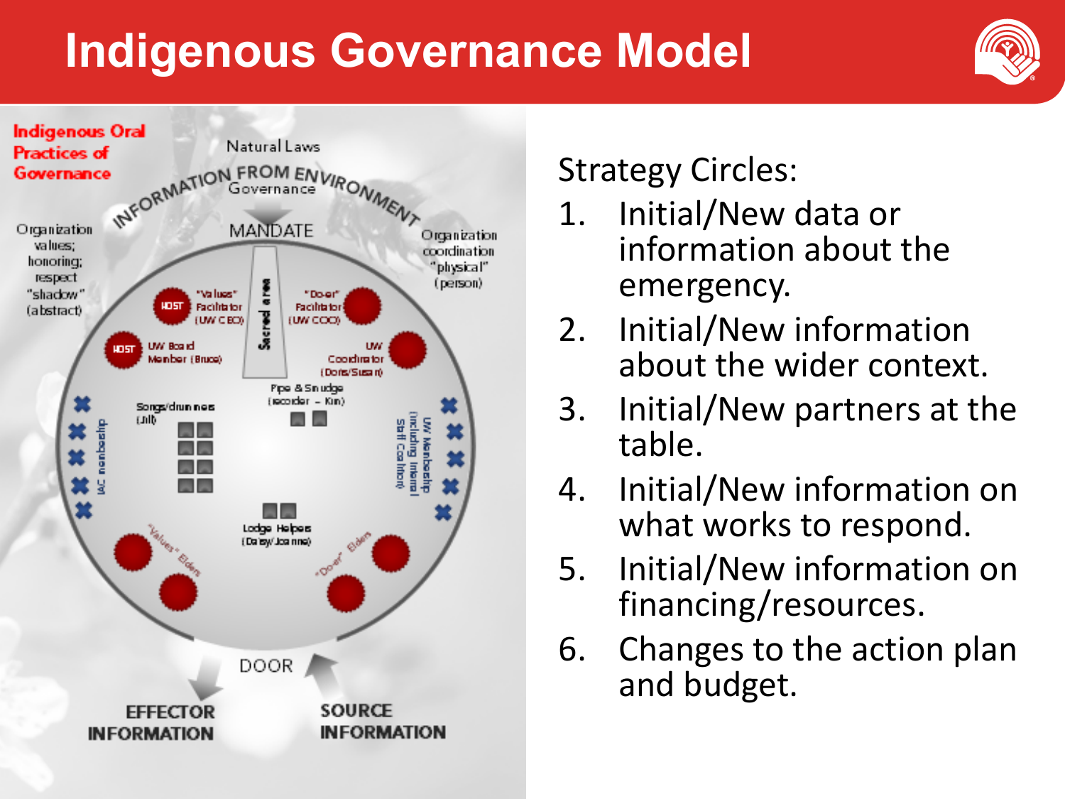## **Indigenous Governance Model**





## Strategy Circles:

- 1. Initial/New data or information about the emergency.
- 2. Initial/New information about the wider context.
- 3. Initial/New partners at the table.
- 4. Initial/New information on what works to respond.
- 5. Initial/New information on financing/resources.
- 6. Changes to the action plan and budget.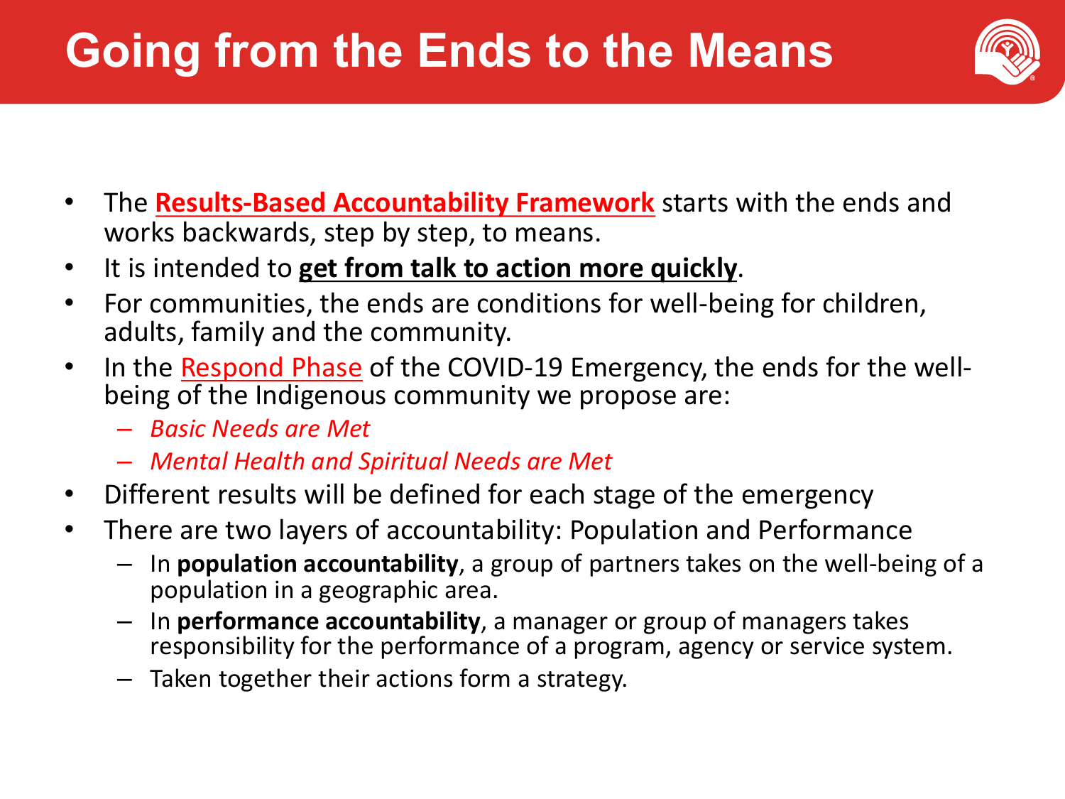# **Going from the Ends to the Means**



- The **Results-Based Accountability Framework** starts with the ends and works backwards, step by step, to means.
- It is intended to **get from talk to action more quickly**.
- For communities, the ends are conditions for well-being for children, adults, family and the community.
- In the <u>Respond Phase</u> of the COVID-19 Emergency, the ends for the well-<br>being of the Indigenous community we propose are:
	- *Basic Needs are Met*
	- *Mental Health and Spiritual Needs are Met*
- Different results will be defined for each stage of the emergency
- There are two layers of accountability: Population and Performance
	- In **population accountability**, a group of partners takes on the well-being of a population in a geographic area.
	- In **performance accountability**, a manager or group of managers takes responsibility for the performance of a program, agency or service system.
	- Taken together their actions form a strategy.